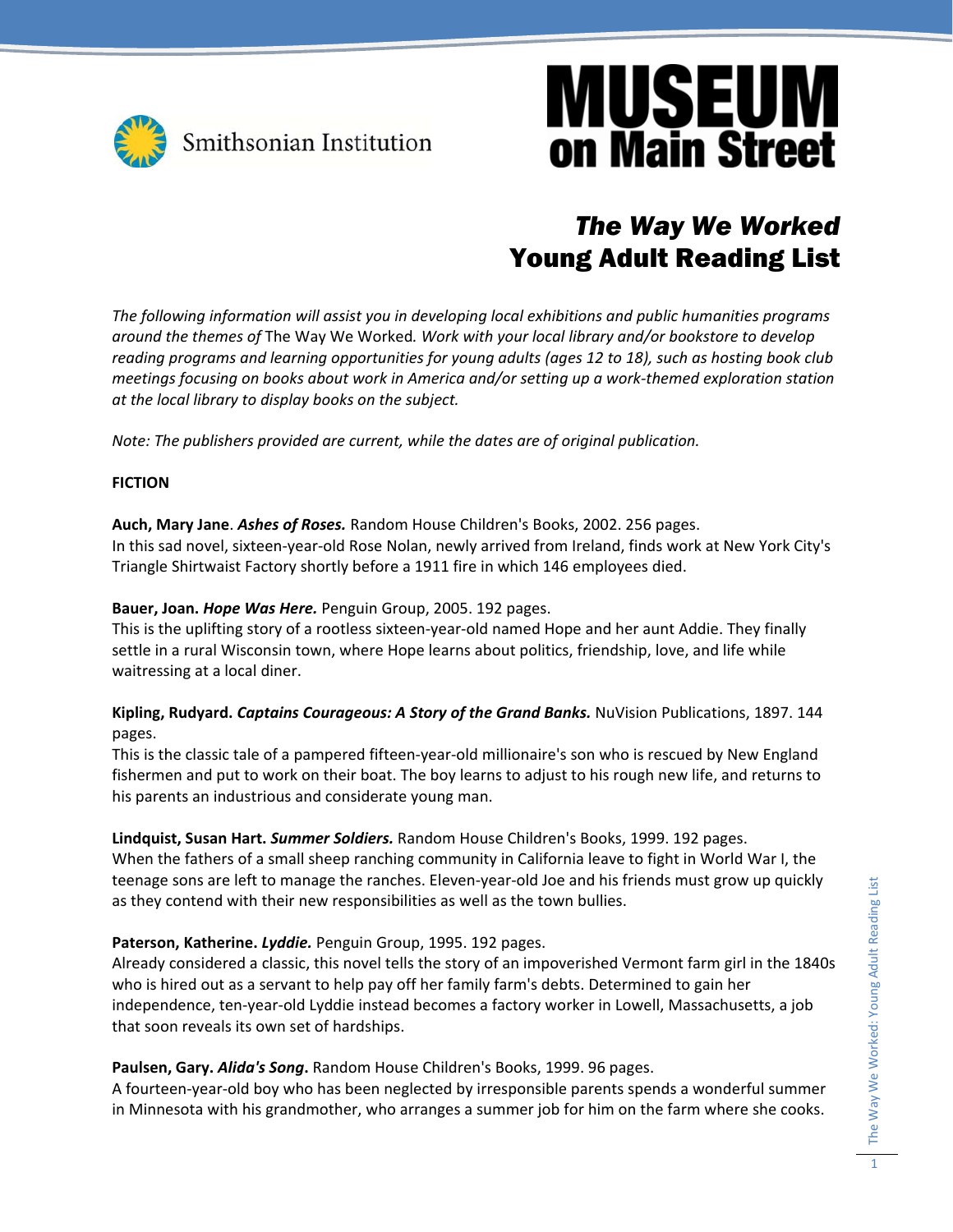

## **MUSEUM on Main Street**

## *The Way We Worked*  Young Adult Reading List

*The following information will assist you in developing local exhibitions and public humanities programs around the themes of* The Way We Worked*. Work with your local library and/or bookstore to develop reading programs and learning opportunities for young adults (ages 12 to 18), such as hosting book club meetings focusing on books about work in America and/or setting up a work‐themed exploration station at the local library to display books on the subject.* 

*Note: The publishers provided are current, while the dates are of original publication.*

## **FICTION**

**Auch, Mary Jane**. *Ashes of Roses.* Random House Children's Books, 2002. 256 pages. In this sad novel, sixteen‐year‐old Rose Nolan, newly arrived from Ireland, finds work at New York City's Triangle Shirtwaist Factory shortly before a 1911 fire in which 146 employees died.

## **Bauer, Joan.** *Hope Was Here.* Penguin Group, 2005. 192 pages.

This is the uplifting story of a rootless sixteen‐year‐old named Hope and her aunt Addie. They finally settle in a rural Wisconsin town, where Hope learns about politics, friendship, love, and life while waitressing at a local diner.

**Kipling, Rudyard.** *Captains Courageous: A Story of the Grand Banks.* NuVision Publications, 1897. 144 pages.

This is the classic tale of a pampered fifteen‐year‐old millionaire's son who is rescued by New England fishermen and put to work on their boat. The boy learns to adjust to his rough new life, and returns to his parents an industrious and considerate young man.

## **Lindquist, Susan Hart.** *Summer Soldiers.* Random House Children's Books, 1999. 192 pages.

When the fathers of a small sheep ranching community in California leave to fight in World War I, the teenage sons are left to manage the ranches. Eleven‐year‐old Joe and his friends must grow up quickly as they contend with their new responsibilities as well as the town bullies.

## **Paterson, Katherine.** *Lyddie.* Penguin Group, 1995. 192 pages.

Already considered a classic, this novel tells the story of an impoverished Vermont farm girl in the 1840s who is hired out as a servant to help pay off her family farm's debts. Determined to gain her independence, ten‐year‐old Lyddie instead becomes a factory worker in Lowell, Massachusetts, a job that soon reveals its own set of hardships.

### **Paulsen, Gary.** *Alida's Song***.** Random House Children's Books, 1999. 96 pages.

A fourteen‐year‐old boy who has been neglected by irresponsible parents spends a wonderful summer in Minnesota with his grandmother, who arranges a summer job for him on the farm where she cooks.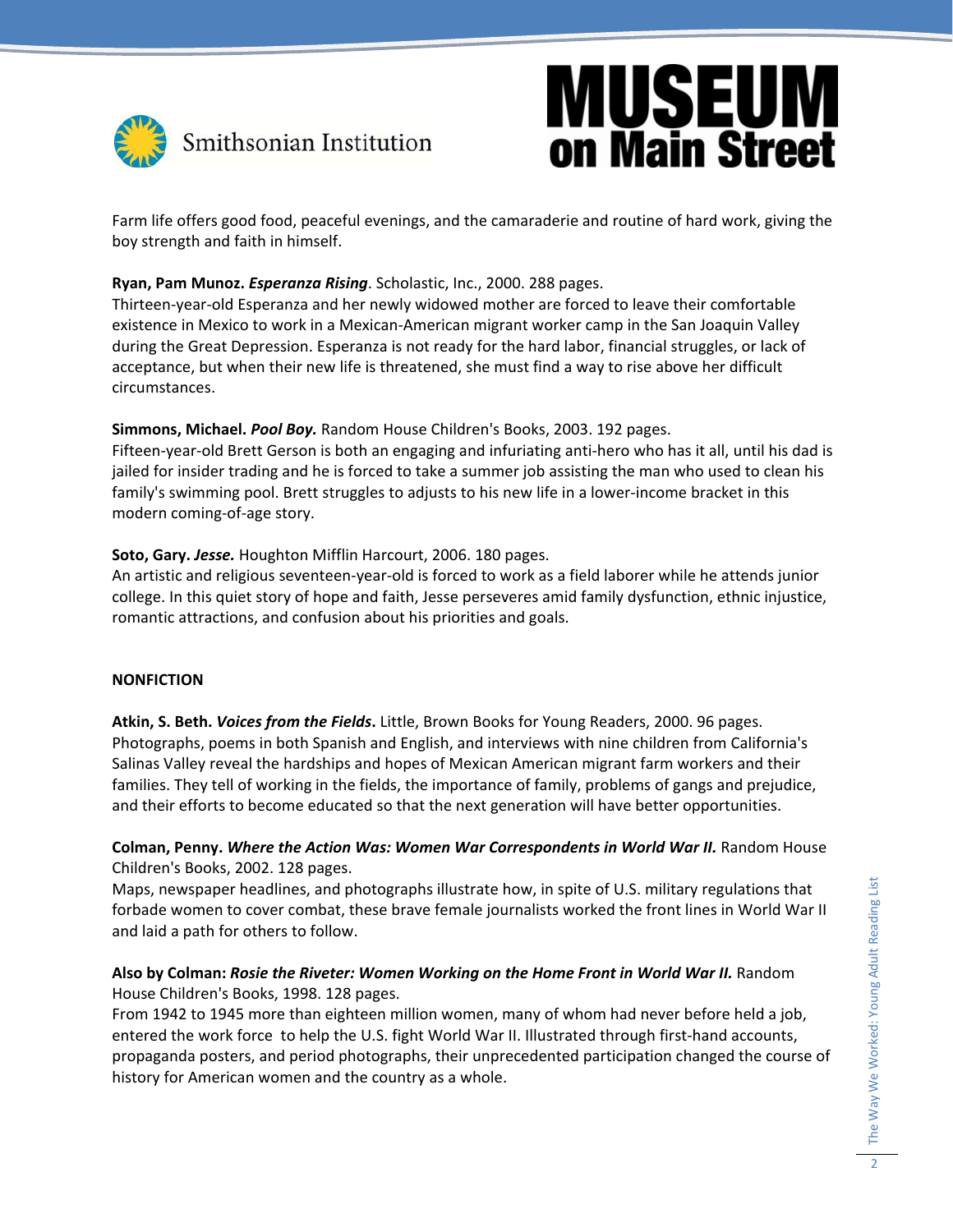

# **MUSEUM**<br>on Main Street

Farm life offers good food, peaceful evenings, and the camaraderie and routine of hard work, giving the boy strength and faith in himself.

## **Ryan, Pam Munoz.** *Esperanza Rising*. Scholastic, Inc., 2000. 288 pages.

Thirteen‐year‐old Esperanza and her newly widowed mother are forced to leave their comfortable existence in Mexico to work in a Mexican‐American migrant worker camp in the San Joaquin Valley during the Great Depression. Esperanza is not ready for the hard labor, financial struggles, or lack of acceptance, but when their new life is threatened, she must find a way to rise above her difficult circumstances.

**Simmons, Michael.** *Pool Boy.* Random House Children's Books, 2003. 192 pages.

Fifteen-year-old Brett Gerson is both an engaging and infuriating anti-hero who has it all, until his dad is jailed for insider trading and he is forced to take a summer job assisting the man who used to clean his family's swimming pool. Brett struggles to adjusts to his new life in a lower-income bracket in this modern coming‐of‐age story.

**Soto, Gary.** *Jesse.* Houghton Mifflin Harcourt, 2006. 180 pages.

An artistic and religious seventeen‐year‐old is forced to work as a field laborer while he attends junior college. In this quiet story of hope and faith, Jesse perseveres amid family dysfunction, ethnic injustice, romantic attractions, and confusion about his priorities and goals.

## **NONFICTION**

**Atkin, S. Beth.** *Voices from the Fields***.** Little, Brown Books for Young Readers, 2000. 96 pages. Photographs, poems in both Spanish and English, and interviews with nine children from California's Salinas Valley reveal the hardships and hopes of Mexican American migrant farm workers and their families. They tell of working in the fields, the importance of family, problems of gangs and prejudice, and their efforts to become educated so that the next generation will have better opportunities.

**Colman, Penny.** *Where the Action Was: Women War Correspondents in World War II.* Random House Children's Books, 2002. 128 pages.

Maps, newspaper headlines, and photographs illustrate how, in spite of U.S. military regulations that forbade women to cover combat, these brave female journalists worked the front lines in World War II and laid a path for others to follow.

## **Also by Colman:** *Rosie the Riveter: Women Working on the Home Front in World War II.* Random House Children's Books, 1998. 128 pages.

From 1942 to 1945 more than eighteen million women, many of whom had never before held a job, entered the work force to help the U.S. fight World War II. Illustrated through first-hand accounts, propaganda posters, and period photographs, their unprecedented participation changed the course of history for American women and the country as a whole.